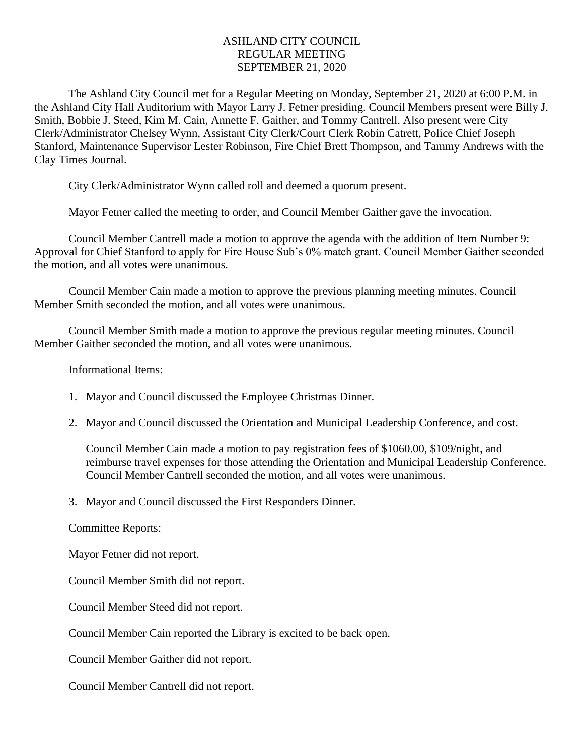## ASHLAND CITY COUNCIL REGULAR MEETING SEPTEMBER 21, 2020

The Ashland City Council met for a Regular Meeting on Monday, September 21, 2020 at 6:00 P.M. in the Ashland City Hall Auditorium with Mayor Larry J. Fetner presiding. Council Members present were Billy J. Smith, Bobbie J. Steed, Kim M. Cain, Annette F. Gaither, and Tommy Cantrell. Also present were City Clerk/Administrator Chelsey Wynn, Assistant City Clerk/Court Clerk Robin Catrett, Police Chief Joseph Stanford, Maintenance Supervisor Lester Robinson, Fire Chief Brett Thompson, and Tammy Andrews with the Clay Times Journal.

City Clerk/Administrator Wynn called roll and deemed a quorum present.

Mayor Fetner called the meeting to order, and Council Member Gaither gave the invocation.

Council Member Cantrell made a motion to approve the agenda with the addition of Item Number 9: Approval for Chief Stanford to apply for Fire House Sub's 0% match grant. Council Member Gaither seconded the motion, and all votes were unanimous.

Council Member Cain made a motion to approve the previous planning meeting minutes. Council Member Smith seconded the motion, and all votes were unanimous.

Council Member Smith made a motion to approve the previous regular meeting minutes. Council Member Gaither seconded the motion, and all votes were unanimous.

Informational Items:

- 1. Mayor and Council discussed the Employee Christmas Dinner.
- 2. Mayor and Council discussed the Orientation and Municipal Leadership Conference, and cost.

Council Member Cain made a motion to pay registration fees of \$1060.00, \$109/night, and reimburse travel expenses for those attending the Orientation and Municipal Leadership Conference. Council Member Cantrell seconded the motion, and all votes were unanimous.

3. Mayor and Council discussed the First Responders Dinner.

Committee Reports:

Mayor Fetner did not report.

Council Member Smith did not report.

Council Member Steed did not report.

Council Member Cain reported the Library is excited to be back open.

Council Member Gaither did not report.

Council Member Cantrell did not report.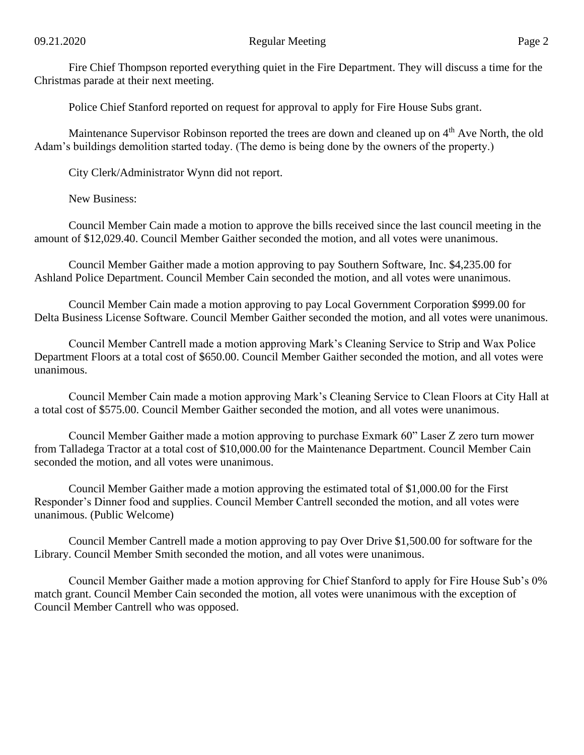Fire Chief Thompson reported everything quiet in the Fire Department. They will discuss a time for the Christmas parade at their next meeting.

Police Chief Stanford reported on request for approval to apply for Fire House Subs grant.

Maintenance Supervisor Robinson reported the trees are down and cleaned up on 4<sup>th</sup> Ave North, the old Adam's buildings demolition started today. (The demo is being done by the owners of the property.)

City Clerk/Administrator Wynn did not report.

New Business:

Council Member Cain made a motion to approve the bills received since the last council meeting in the amount of \$12,029.40. Council Member Gaither seconded the motion, and all votes were unanimous.

Council Member Gaither made a motion approving to pay Southern Software, Inc. \$4,235.00 for Ashland Police Department. Council Member Cain seconded the motion, and all votes were unanimous.

Council Member Cain made a motion approving to pay Local Government Corporation \$999.00 for Delta Business License Software. Council Member Gaither seconded the motion, and all votes were unanimous.

Council Member Cantrell made a motion approving Mark's Cleaning Service to Strip and Wax Police Department Floors at a total cost of \$650.00. Council Member Gaither seconded the motion, and all votes were unanimous.

Council Member Cain made a motion approving Mark's Cleaning Service to Clean Floors at City Hall at a total cost of \$575.00. Council Member Gaither seconded the motion, and all votes were unanimous.

Council Member Gaither made a motion approving to purchase Exmark 60" Laser Z zero turn mower from Talladega Tractor at a total cost of \$10,000.00 for the Maintenance Department. Council Member Cain seconded the motion, and all votes were unanimous.

Council Member Gaither made a motion approving the estimated total of \$1,000.00 for the First Responder's Dinner food and supplies. Council Member Cantrell seconded the motion, and all votes were unanimous. (Public Welcome)

Council Member Cantrell made a motion approving to pay Over Drive \$1,500.00 for software for the Library. Council Member Smith seconded the motion, and all votes were unanimous.

Council Member Gaither made a motion approving for Chief Stanford to apply for Fire House Sub's 0% match grant. Council Member Cain seconded the motion, all votes were unanimous with the exception of Council Member Cantrell who was opposed.